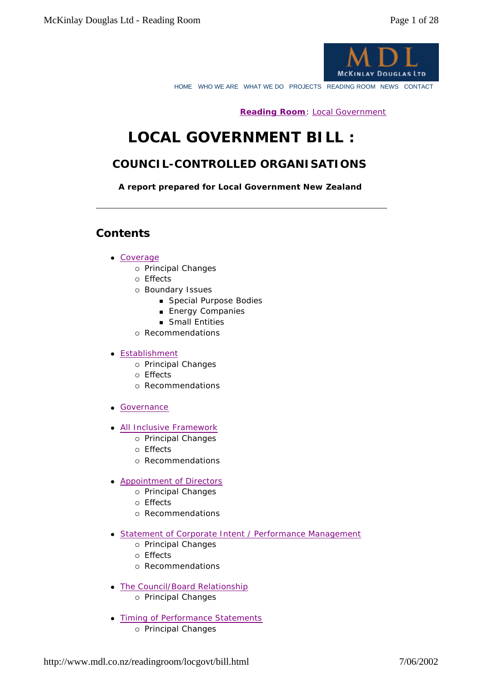

HOME WHO WE ARE WHAT WE DO PROJECTS READING ROOM NEWS CONTACT

**Reading Room**: Local Government

# **LOCAL GOVERNMENT BILL :**

# *COUNCIL-CONTROLLED ORGANISATIONS*

*A report prepared for Local Government New Zealand* 

### **Contents**

#### • Coverage

- ° *Principal Changes*
- ° *Effects*
- ° *Boundary Issues*
	- <sup>n</sup> *Special Purpose Bodies*
	- <sup>n</sup> *Energy Companies*
	- <sup>n</sup> *Small Entities*
- ° *Recommendations*

#### **•** Establishment

- ° *Principal Changes*
- ° *Effects*
- ° *Recommendations*
- **.** Governance
- All Inclusive Framework
	- ° *Principal Changes*
	- ° *Effects*
	- ° *Recommendations*
- Appointment of Directors
	- ° *Principal Changes*
	- ° *Effects*
	- ° *Recommendations*
- Statement of Corporate Intent / Performance Management
	- ° *Principal Changes*
	- ° *Effects*
	- ° *Recommendations*
- The Council/Board Relationship ° *Principal Changes*
- Timing of Performance Statements
	- ° *Principal Changes*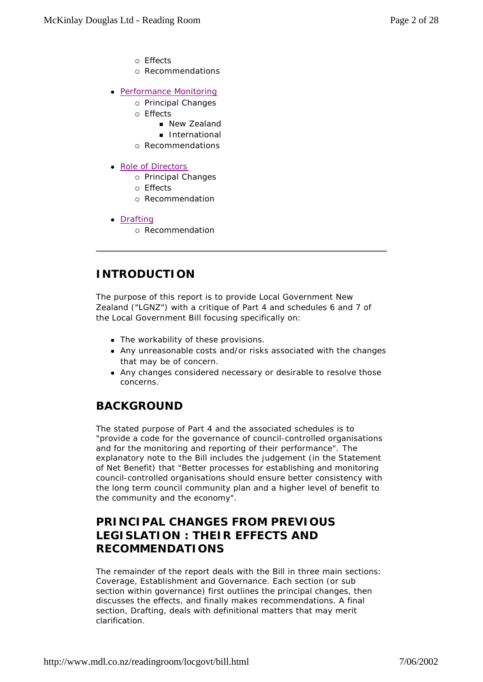- ° *Effects*
- ° *Recommendations*
- Performance Monitoring
	- ° *Principal Changes*
	- ° *Effects*
		- <sup>n</sup> *New Zealand*
		- <sup>n</sup> *International*
	- ° *Recommendations*
- Role of Directors
	- ° *Principal Changes*
	- ° *Effects*
	- ° *Recommendation*
- Drafting
	- ° *Recommendation*

### **INTRODUCTION**

The purpose of this report is to provide Local Government New Zealand ("LGNZ") with a critique of Part 4 and schedules 6 and 7 of the Local Government Bill focusing specifically on:

- The workability of these provisions.
- Any unreasonable costs and/or risks associated with the changes that may be of concern.
- Any changes considered necessary or desirable to resolve those concerns.

### **BACKGROUND**

The stated purpose of Part 4 and the associated schedules is to *"provide a code for the governance of council-controlled organisations and for the monitoring and reporting of their performance".* The explanatory note to the Bill includes the judgement (in the Statement of Net Benefit) that *"Better processes for establishing and monitoring council-controlled organisations should ensure better consistency with the long term council community plan and a higher level of benefit to the community and the economy".*

# **PRINCIPAL CHANGES FROM PREVIOUS LEGISLATION : THEIR EFFECTS AND RECOMMENDATIONS**

The remainder of the report deals with the Bill in three main sections: Coverage, Establishment and Governance. Each section (or sub section within governance) first outlines the principal changes, then discusses the effects, and finally makes recommendations. A final section, Drafting, deals with definitional matters that may merit clarification.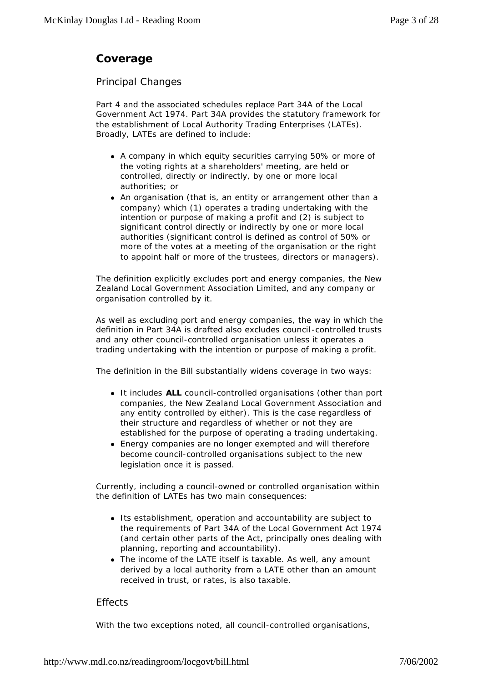# **Coverage**

#### *Principal Changes*

Part 4 and the associated schedules replace Part 34A of the Local Government Act 1974. Part 34A provides the statutory framework for the establishment of Local Authority Trading Enterprises (LATEs). Broadly, LATEs are defined to include:

- A company in which equity securities carrying 50% or more of the voting rights at a shareholders' meeting, are held or controlled, directly or indirectly, by one or more local authorities; or
- An organisation (that is, an entity or arrangement other than a company) which (1) operates a trading undertaking with the intention or purpose of making a profit and (2) is subject to significant control directly or indirectly by one or more local authorities (significant control is defined as control of 50% or more of the votes at a meeting of the organisation or the right to appoint half or more of the trustees, directors or managers).

The definition explicitly excludes port and energy companies, the New Zealand Local Government Association Limited, and any company or organisation controlled by it.

As well as excluding port and energy companies, the way in which the definition in Part 34A is drafted also excludes council -controlled trusts and any other council-controlled organisation unless it operates a trading undertaking with the intention or purpose of making a profit.

The definition in the Bill substantially widens coverage in two ways:

- It includes **ALL** council-controlled organisations (other than port companies, the New Zealand Local Government Association and any entity controlled by either). This is the case regardless of their structure and regardless of whether or not they are established for the purpose of operating a trading undertaking.
- Energy companies are no longer exempted and will therefore become council-controlled organisations subject to the new legislation once it is passed.

Currently, including a council-owned or controlled organisation within the definition of LATEs has two main consequences:

- Its establishment, operation and accountability are subject to the requirements of Part 34A of the Local Government Act 1974 (and certain other parts of the Act, principally ones dealing with planning, reporting and accountability).
- The income of the LATE itself is taxable. As well, any amount derived by a local authority from a LATE other than an amount received in trust, or rates, is also taxable.

#### *Effects*

With the two exceptions noted, all council-controlled organisations,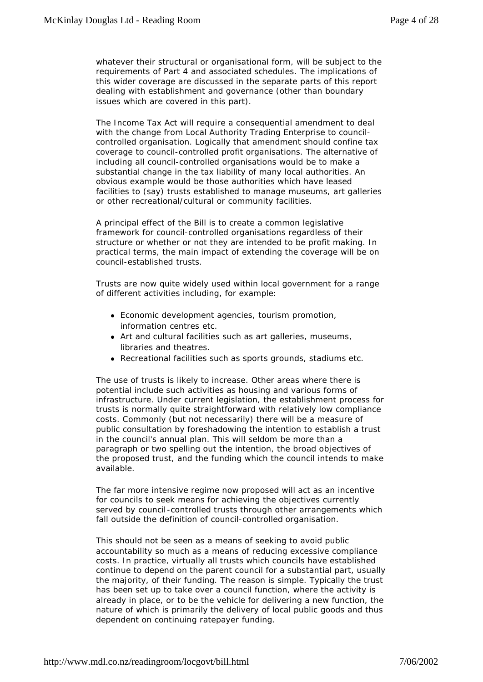whatever their structural or organisational form, will be subject to the requirements of Part 4 and associated schedules. The implications of this wider coverage are discussed in the separate parts of this report dealing with establishment and governance (other than boundary issues which are covered in this part).

The Income Tax Act will require a consequential amendment to deal with the change from Local Authority Trading Enterprise to councilcontrolled organisation. Logically that amendment should confine tax coverage to council-controlled profit organisations. The alternative of including all council-controlled organisations would be to make a substantial change in the tax liability of many local authorities. An obvious example would be those authorities which have leased facilities to (say) trusts established to manage museums, art galleries or other recreational/cultural or community facilities.

A principal effect of the Bill is to create a common legislative framework for council-controlled organisations regardless of their structure or whether or not they are intended to be profit making. In practical terms, the main impact of extending the coverage will be on council-established trusts.

Trusts are now quite widely used within local government for a range of different activities including, for example:

- Economic development agencies, tourism promotion, information centres etc.
- Art and cultural facilities such as art galleries, museums, libraries and theatres.
- Recreational facilities such as sports grounds, stadiums etc.

The use of trusts is likely to increase. Other areas where there is potential include such activities as housing and various forms of infrastructure. Under current legislation, the establishment process for trusts is normally quite straightforward with relatively low compliance costs. Commonly (but not necessarily) there will be a measure of public consultation by foreshadowing the intention to establish a trust in the council's annual plan. This will seldom be more than a paragraph or two spelling out the intention, the broad objectives of the proposed trust, and the funding which the council intends to make available.

The far more intensive regime now proposed will act as an incentive for councils to seek means for achieving the objectives currently served by council-controlled trusts through other arrangements which fall outside the definition of council-controlled organisation.

This should not be seen as a means of seeking to avoid public accountability so much as a means of reducing excessive compliance costs. In practice, virtually all trusts which councils have established continue to depend on the parent council for a substantial part, usually the majority, of their funding. The reason is simple. Typically the trust has been set up to take over a council function, where the activity is already in place, or to be the vehicle for delivering a new function, the nature of which is primarily the delivery of local public goods and thus dependent on continuing ratepayer funding.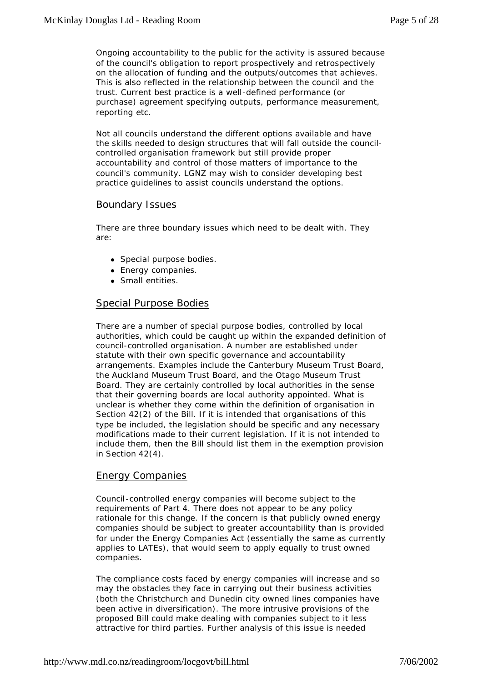Ongoing accountability to the public for the activity is assured because of the council's obligation to report prospectively and retrospectively on the allocation of funding and the outputs/outcomes that achieves. This is also reflected in the relationship between the council and the trust. Current best practice is a well-defined performance (or purchase) agreement specifying outputs, performance measurement, reporting etc.

Not all councils understand the different options available and have the skills needed to design structures that will fall outside the councilcontrolled organisation framework but still provide proper accountability and control of those matters of importance to the council's community. LGNZ may wish to consider developing best practice guidelines to assist councils understand the options.

#### *Boundary Issues*

There are three boundary issues which need to be dealt with. They are:

- Special purpose bodies.
- Energy companies.
- Small entities.

#### Special Purpose Bodies

There are a number of special purpose bodies, controlled by local authorities, which could be caught up within the expanded definition of council-controlled organisation. A number are established under statute with their own specific governance and accountability arrangements. Examples include the Canterbury Museum Trust Board, the Auckland Museum Trust Board, and the Otago Museum Trust Board. They are certainly controlled by local authorities in the sense that their governing boards are local authority appointed. What is unclear is whether they come within the definition of organisation in Section 42(2) of the Bill. If it is intended that organisations of this type be included, the legislation should be specific and any necessary modifications made to their current legislation. If it is not intended to include them, then the Bill should list them in the exemption provision in Section 42(4).

#### Energy Companies

Council -controlled energy companies will become subject to the requirements of Part 4. There does not appear to be any policy rationale for this change. If the concern is that publicly owned energy companies should be subject to greater accountability than is provided for under the Energy Companies Act (essentially the same as currently applies to LATEs), that would seem to apply equally to trust owned companies.

The compliance costs faced by energy companies will increase and so may the obstacles they face in carrying out their business activities (both the Christchurch and Dunedin city owned lines companies have been active in diversification). The more intrusive provisions of the proposed Bill could make dealing with companies subject to it less attractive for third parties. Further analysis of this issue is needed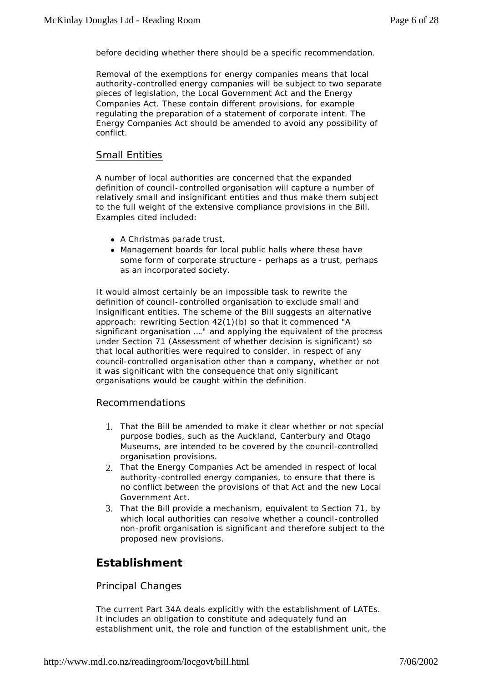before deciding whether there should be a specific recommendation.

Removal of the exemptions for energy companies means that local authority-controlled energy companies will be subject to two separate pieces of legislation, the Local Government Act and the Energy Companies Act. These contain different provisions, for example regulating the preparation of a statement of corporate intent. The Energy Companies Act should be amended to avoid any possibility of conflict.

#### Small Entities

A number of local authorities are concerned that the expanded definition of council-controlled organisation will capture a number of relatively small and insignificant entities and thus make them subject to the full weight of the extensive compliance provisions in the Bill. Examples cited included:

- A Christmas parade trust.
- Management boards for local public halls where these have some form of corporate structure - perhaps as a trust, perhaps as an incorporated society.

It would almost certainly be an impossible task to rewrite the definition of council-controlled organisation to exclude small and insignificant entities. The scheme of the Bill suggests an alternative approach: rewriting Section 42(1)(b) so that it commenced *"A significant organisation …."* and applying the equivalent of the process under Section 71 (Assessment of whether decision is significant) so that local authorities were required to consider, in respect of any council-controlled organisation other than a company, whether or not it was significant with the consequence that only significant organisations would be caught within the definition.

#### *Recommendations*

- 1. That the Bill be amended to make it clear whether or not special purpose bodies, such as the Auckland, Canterbury and Otago Museums, are intended to be covered by the council-controlled organisation provisions.
- 2. That the Energy Companies Act be amended in respect of local authority-controlled energy companies, to ensure that there is no conflict between the provisions of that Act and the new Local Government Act.
- 3. That the Bill provide a mechanism, equivalent to Section 71, by which local authorities can resolve whether a council-controlled non-profit organisation is significant and therefore subject to the proposed new provisions.

### **Establishment**

#### *Principal Changes*

The current Part 34A deals explicitly with the establishment of LATEs. It includes an obligation to constitute and adequately fund an establishment unit, the role and function of the establishment unit, the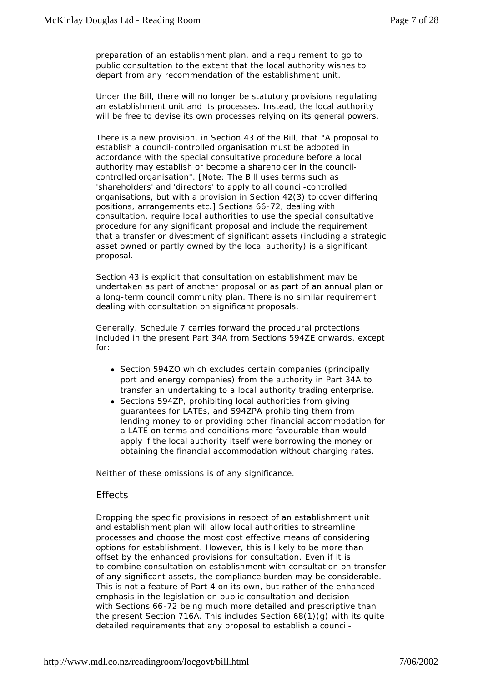preparation of an establishment plan, and a requirement to go to public consultation to the extent that the local authority wishes to depart from any recommendation of the establishment unit.

Under the Bill, there will no longer be statutory provisions regulating an establishment unit and its processes. Instead, the local authority will be free to devise its own processes relying on its general powers.

There is a new provision, in Section 43 of the Bill, that *"A proposal to establish a council-controlled organisation must be adopted in accordance with the special consultative procedure before a local authority may establish or become a shareholder in the councilcontrolled organisation".* [Note: The Bill uses terms such as 'shareholders' and 'directors' to apply to all council-controlled organisations, but with a provision in Section 42(3) to cover differing positions, arrangements etc.] Sections 66-72, dealing with consultation, require local authorities to use the special consultative procedure for any significant proposal and include the requirement that a transfer or divestment of significant assets (including a strategic asset owned or partly owned by the local authority) is a significant proposal.

Section 43 is explicit that consultation on establishment may be undertaken as part of another proposal or as part of an annual plan or a long-term council community plan. There is no similar requirement dealing with consultation on significant proposals.

Generally, Schedule 7 carries forward the procedural protections included in the present Part 34A from Sections 594ZE onwards, except for:

- Section 594ZO which excludes certain companies (principally port and energy companies) from the authority in Part 34A to transfer an undertaking to a local authority trading enterprise.
- Sections 594ZP, prohibiting local authorities from giving guarantees for LATEs, and 594ZPA prohibiting them from lending money to or providing other financial accommodation for a LATE on terms and conditions more favourable than would apply if the local authority itself were borrowing the money or obtaining the financial accommodation without charging rates.

Neither of these omissions is of any significance.

#### *Effects*

Dropping the specific provisions in respect of an establishment unit and establishment plan will allow local authorities to streamline processes and choose the most cost effective means of considering options for establishment. However, this is likely to be more than offset by the enhanced provisions for consultation. Even if it is to combine consultation on establishment with consultation on transfer of any significant assets, the compliance burden may be considerable. This is not a feature of Part 4 on its own, but rather of the enhanced emphasis in the legislation on public consultation and decisionwith Sections 66-72 being much more detailed and prescriptive than the present Section 716A. This includes Section  $68(1)(q)$  with its quite detailed requirements that any proposal to establish a council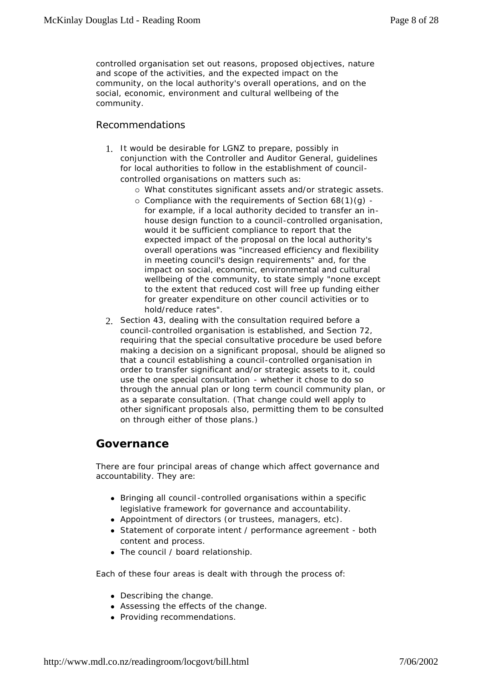controlled organisation set out reasons, proposed objectives, nature and scope of the activities, and the expected impact on the community, on the local authority's overall operations, and on the social, economic, environment and cultural wellbeing of the community.

#### *Recommendations*

- 1. It would be desirable for LGNZ to prepare, possibly in conjunction with the Controller and Auditor General, guidelines for local authorities to follow in the establishment of councilcontrolled organisations on matters such as:
	- ° What constitutes significant assets and/or strategic assets.
	- ° Compliance with the requirements of Section 68(1)(g) for example, if a local authority decided to transfer an inhouse design function to a council-controlled organisation, would it be sufficient compliance to report that the expected impact of the proposal on the local authority's overall operations was *"increased efficiency and flexibility in meeting council's design requirements"* and, for the impact on social, economic, environmental and cultural wellbeing of the community, to state simply *"none except to the extent that reduced cost will free up funding either for greater expenditure on other council activities or to hold/reduce rates".*
- 2. Section 43, dealing with the consultation required before a council-controlled organisation is established, and Section 72, requiring that the special consultative procedure be used before making a decision on a significant proposal, should be aligned so that a council establishing a council-controlled organisation in order to transfer significant and/or strategic assets to it, could use the one special consultation - whether it chose to do so through the annual plan or long term council community plan, or as a separate consultation. (That change could well apply to other significant proposals also, permitting them to be consulted on through either of those plans.)

### **Governance**

There are four principal areas of change which affect governance and accountability. They are:

- Bringing all council -controlled organisations within a specific legislative framework for governance and accountability.
- Appointment of directors (or trustees, managers, etc).
- Statement of corporate intent / performance agreement both content and process.
- The council / board relationship.

Each of these four areas is dealt with through the process of:

- $\bullet$  Describing the change.
- Assessing the effects of the change.
- Providing recommendations.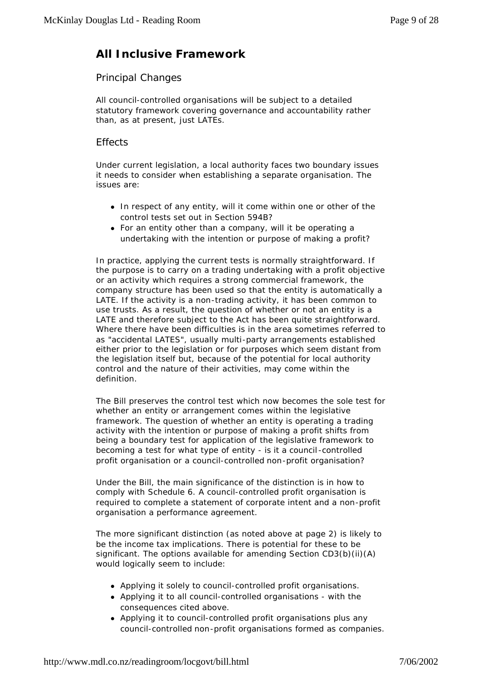# **All Inclusive Framework**

#### *Principal Changes*

All council-controlled organisations will be subject to a detailed statutory framework covering governance and accountability rather than, as at present, just LATEs.

#### **Effects**

Under current legislation, a local authority faces two boundary issues it needs to consider when establishing a separate organisation. The issues are:

- In respect of any entity, will it come within one or other of the control tests set out in Section 594B?
- $\bullet$  For an entity other than a company, will it be operating a undertaking with the intention or purpose of making a profit?

In practice, applying the current tests is normally straightforward. If the purpose is to carry on a trading undertaking with a profit objective or an activity which requires a strong commercial framework, the company structure has been used so that the entity is automatically a LATE. If the activity is a non-trading activity, it has been common to use trusts. As a result, the question of whether or not an entity is a LATE and therefore subject to the Act has been quite straightforward. Where there have been difficulties is in the area sometimes referred to as "accidental LATES", usually multi-party arrangements established either prior to the legislation or for purposes which seem distant from the legislation itself but, because of the potential for local authority control and the nature of their activities, may come within the definition.

The Bill preserves the control test which now becomes the sole test for whether an entity or arrangement comes within the legislative framework. The question of whether an entity is operating a trading activity with the intention or purpose of making a profit shifts from being a boundary test for application of the legislative framework to becoming a test for what type of entity - is it a council -controlled profit organisation or a council-controlled non-profit organisation?

Under the Bill, the main significance of the distinction is in how to comply with Schedule 6. A council-controlled profit organisation is required to complete a statement of corporate intent and a non-profit organisation a performance agreement.

The more significant distinction (as noted above at page 2) is likely to be the income tax implications. There is potential for these to be significant. The options available for amending Section CD3(b)(ii)(A) would logically seem to include:

- Applying it solely to council-controlled profit organisations.
- Applying it to all council-controlled organisations with the consequences cited above.
- Applying it to council-controlled profit organisations plus any council-controlled non-profit organisations formed as companies.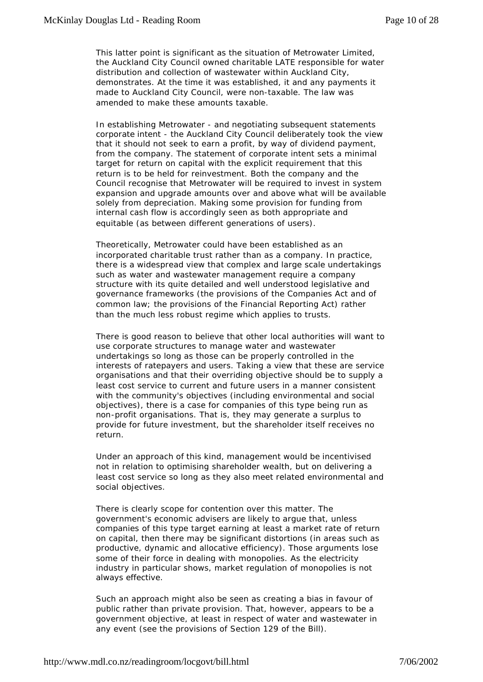This latter point is significant as the situation of Metrowater Limited, the Auckland City Council owned charitable LATE responsible for water distribution and collection of wastewater within Auckland City, demonstrates. At the time it was established, it and any payments it made to Auckland City Council, were non-taxable. The law was amended to make these amounts taxable.

In establishing Metrowater - and negotiating subsequent statements corporate intent - the Auckland City Council deliberately took the view that it should not seek to earn a profit, by way of dividend payment, from the company. The statement of corporate intent sets a minimal target for return on capital with the explicit requirement that this return is to be held for reinvestment. Both the company and the Council recognise that Metrowater will be required to invest in system expansion and upgrade amounts over and above what will be available solely from depreciation. Making some provision for funding from internal cash flow is accordingly seen as both appropriate and equitable (as between different generations of users).

Theoretically, Metrowater could have been established as an incorporated charitable trust rather than as a company. In practice, there is a widespread view that complex and large scale undertakings such as water and wastewater management require a company structure with its quite detailed and well understood legislative and governance frameworks (the provisions of the Companies Act and of common law; the provisions of the Financial Reporting Act) rather than the much less robust regime which applies to trusts.

There is good reason to believe that other local authorities will want to use corporate structures to manage water and wastewater undertakings so long as those can be properly controlled in the interests of ratepayers and users. Taking a view that these are service organisations and that their overriding objective should be to supply a least cost service to current and future users in a manner consistent with the community's objectives (including environmental and social objectives), there is a case for companies of this type being run as non-profit organisations. That is, they may generate a surplus to provide for future investment, but the shareholder itself receives no return.

Under an approach of this kind, management would be incentivised not in relation to optimising shareholder wealth, but on delivering a least cost service so long as they also meet related environmental and social objectives.

There is clearly scope for contention over this matter. The government's economic advisers are likely to argue that, unless companies of this type target earning at least a market rate of return on capital, then there may be significant distortions (in areas such as productive, dynamic and allocative efficiency). Those arguments lose some of their force in dealing with monopolies. As the electricity industry in particular shows, market regulation of monopolies is not always effective.

Such an approach might also be seen as creating a bias in favour of public rather than private provision. That, however, appears to be a government objective, at least in respect of water and wastewater in any event (see the provisions of Section 129 of the Bill).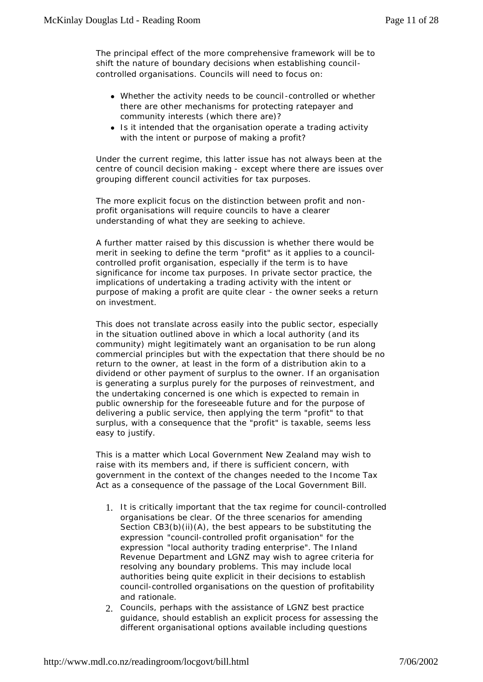The principal effect of the more comprehensive framework will be to shift the nature of boundary decisions when establishing councilcontrolled organisations. Councils will need to focus on:

- Whether the activity needs to be council -controlled or whether there are other mechanisms for protecting ratepayer and community interests (which there are)?
- Is it intended that the organisation operate a trading activity with the intent or purpose of making a profit?

Under the current regime, this latter issue has not always been at the centre of council decision making - except where there are issues over grouping different council activities for tax purposes.

The more explicit focus on the distinction between profit and nonprofit organisations will require councils to have a clearer understanding of what they are seeking to achieve.

A further matter raised by this discussion is whether there would be merit in seeking to define the term "profit" as it applies to a councilcontrolled profit organisation, especially if the term is to have significance for income tax purposes. In private sector practice, the implications of undertaking a trading activity with the intent or purpose of making a profit are quite clear - the owner seeks a return on investment.

This does not translate across easily into the public sector, especially in the situation outlined above in which a local authority (and its community) might legitimately want an organisation to be run along commercial principles but with the expectation that there should be no return to the owner, at least in the form of a distribution akin to a dividend or other payment of surplus to the owner. If an organisation is generating a surplus purely for the purposes of reinvestment, and the undertaking concerned is one which is expected to remain in public ownership for the foreseeable future and for the purpose of delivering a public service, then applying the term "profit" to that surplus, with a consequence that the "profit" is taxable, seems less easy to justify.

This is a matter which Local Government New Zealand may wish to raise with its members and, if there is sufficient concern, with government in the context of the changes needed to the Income Tax Act as a consequence of the passage of the Local Government Bill.

- 1. It is critically important that the tax regime for council-controlled organisations be clear. Of the three scenarios for amending Section CB3(b)(ii)(A), the best appears to be substituting the expression *"council-controlled profit organisation"* for the expression *"local authority trading enterprise".* The Inland Revenue Department and LGNZ may wish to agree criteria for resolving any boundary problems. This may include local authorities being quite explicit in their decisions to establish council-controlled organisations on the question of profitability and rationale.
- 2. Councils, perhaps with the assistance of LGNZ best practice guidance, should establish an explicit process for assessing the different organisational options available including questions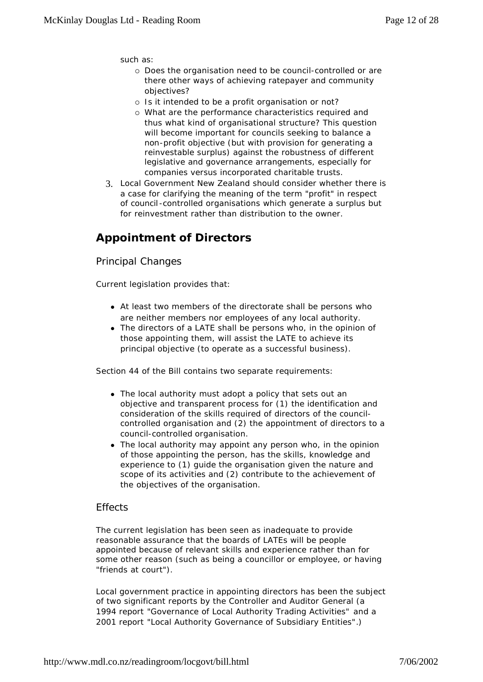such as:

- ° Does the organisation need to be council-controlled or are there other ways of achieving ratepayer and community objectives?
- o Is it intended to be a profit organisation or not?
- ° What are the performance characteristics required and thus what kind of organisational structure? This question will become important for councils seeking to balance a non-profit objective (but with provision for generating a reinvestable surplus) against the robustness of different legislative and governance arrangements, especially for companies versus incorporated charitable trusts.
- 3. Local Government New Zealand should consider whether there is a case for clarifying the meaning of the term "profit" in respect of council -controlled organisations which generate a surplus but for reinvestment rather than distribution to the owner.

# **Appointment of Directors**

#### *Principal Changes*

Current legislation provides that:

- At least two members of the directorate shall be persons who are neither members nor employees of any local authority.
- The directors of a LATE shall be persons who, in the opinion of those appointing them, will assist the LATE to achieve its principal objective (to operate as a successful business).

Section 44 of the Bill contains two separate requirements:

- The local authority must adopt a policy that sets out an objective and transparent process for (1) the identification and consideration of the skills required of directors of the councilcontrolled organisation and (2) the appointment of directors to a council-controlled organisation.
- The local authority may appoint any person who, in the opinion of those appointing the person, has the skills, knowledge and experience to (1) guide the organisation given the nature and scope of its activities and (2) contribute to the achievement of the objectives of the organisation.

#### *Effects*

The current legislation has been seen as inadequate to provide reasonable assurance that the boards of LATEs will be people appointed because of relevant skills and experience rather than for some other reason (such as being a councillor or employee, or having "friends at court").

Local government practice in appointing directors has been the subject of two significant reports by the Controller and Auditor General (a 1994 report *"Governance of Local Authority Trading Activities"* and a 2001 report *"Local Authority Governance of Subsidiary Entities"*.)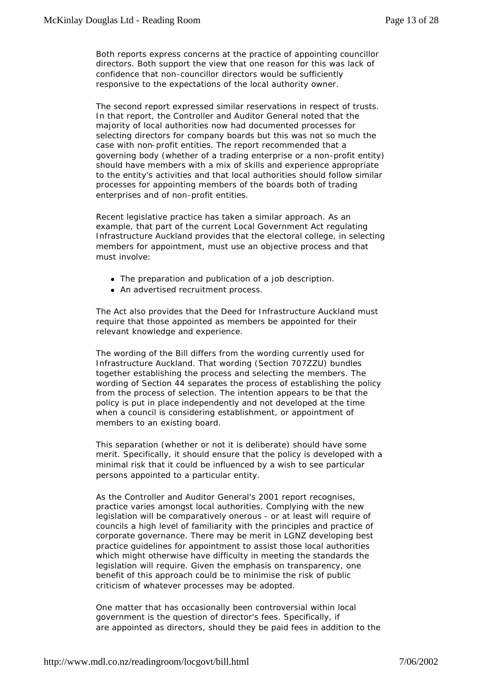Both reports express concerns at the practice of appointing councillor directors. Both support the view that one reason for this was lack of confidence that non-councillor directors would be sufficiently responsive to the expectations of the local authority owner.

The second report expressed similar reservations in respect of trusts. In that report, the Controller and Auditor General noted that the majority of local authorities now had documented processes for selecting directors for company boards but this was not so much the case with non-profit entities. The report recommended that a governing body (whether of a trading enterprise or a non-profit entity) should have members with a mix of skills and experience appropriate to the entity's activities and that local authorities should follow similar processes for appointing members of the boards both of trading enterprises and of non-profit entities.

Recent legislative practice has taken a similar approach. As an example, that part of the current Local Government Act regulating Infrastructure Auckland provides that the electoral college, in selecting members for appointment, must use an objective process and that must involve:

- The preparation and publication of a job description.
- An advertised recruitment process.

The Act also provides that the Deed for Infrastructure Auckland must require that those appointed as members be appointed for their relevant knowledge and experience.

The wording of the Bill differs from the wording currently used for Infrastructure Auckland. That wording (Section 707ZZU) bundles together establishing the process and selecting the members. The wording of Section 44 separates the process of establishing the policy from the process of selection. The intention appears to be that the policy is put in place independently and not developed at the time when a council is considering establishment, or appointment of members to an existing board.

This separation (whether or not it is deliberate) should have some merit. Specifically, it should ensure that the policy is developed with a minimal risk that it could be influenced by a wish to see particular persons appointed to a particular entity.

As the Controller and Auditor General's 2001 report recognises, practice varies amongst local authorities. Complying with the new legislation will be comparatively onerous - or at least will require of councils a high level of familiarity with the principles and practice of corporate governance. There may be merit in LGNZ developing best practice guidelines for appointment to assist those local authorities which might otherwise have difficulty in meeting the standards the legislation will require. Given the emphasis on transparency, one benefit of this approach could be to minimise the risk of public criticism of whatever processes may be adopted.

One matter that has occasionally been controversial within local government is the question of director's fees. Specifically, if are appointed as directors, should they be paid fees in addition to the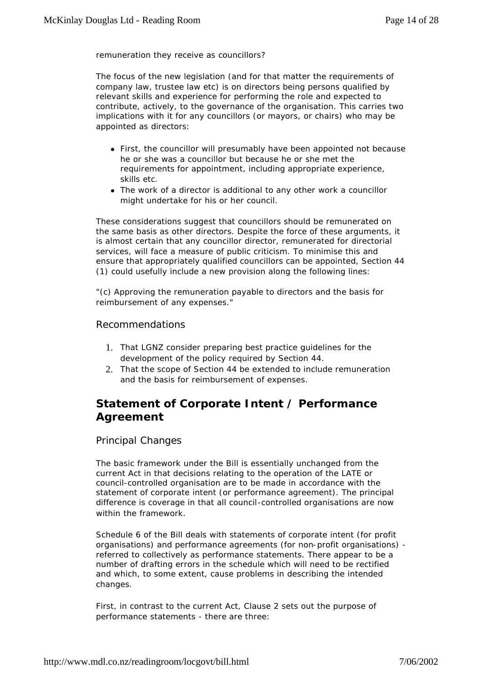remuneration they receive as councillors?

The focus of the new legislation (and for that matter the requirements of company law, trustee law etc) is on directors being persons qualified by relevant skills and experience for performing the role and expected to contribute, actively, to the governance of the organisation. This carries two implications with it for any councillors (or mayors, or chairs) who may be appointed as directors:

- First, the councillor will presumably have been appointed not because he or she was a councillor but because he or she met the requirements for appointment, including appropriate experience, skills etc.
- The work of a director is additional to any other work a councillor might undertake for his or her council.

These considerations suggest that councillors should be remunerated on the same basis as other directors. Despite the force of these arguments, it is almost certain that any councillor director, remunerated for directorial services, will face a measure of public criticism. To minimise this and ensure that appropriately qualified councillors can be appointed, Section 44 (1) could usefully include a new provision along the following lines:

*"(c) Approving the remuneration payable to directors and the basis for reimbursement of any expenses."*

#### *Recommendations*

- 1. That LGNZ consider preparing best practice guidelines for the development of the policy required by Section 44.
- 2. That the scope of Section 44 be extended to include remuneration and the basis for reimbursement of expenses.

### **Statement of Corporate Intent / Performance Agreement**

#### *Principal Changes*

The basic framework under the Bill is essentially unchanged from the current Act in that decisions relating to the operation of the LATE or council-controlled organisation are to be made in accordance with the statement of corporate intent (or performance agreement). The principal difference is coverage in that all council-controlled organisations are now within the framework.

Schedule 6 of the Bill deals with statements of corporate intent (for profit organisations) and performance agreements (for non-profit organisations) referred to collectively as performance statements. There appear to be a number of drafting errors in the schedule which will need to be rectified and which, to some extent, cause problems in describing the intended changes.

First, in contrast to the current Act, Clause 2 sets out the purpose of performance statements - there are three: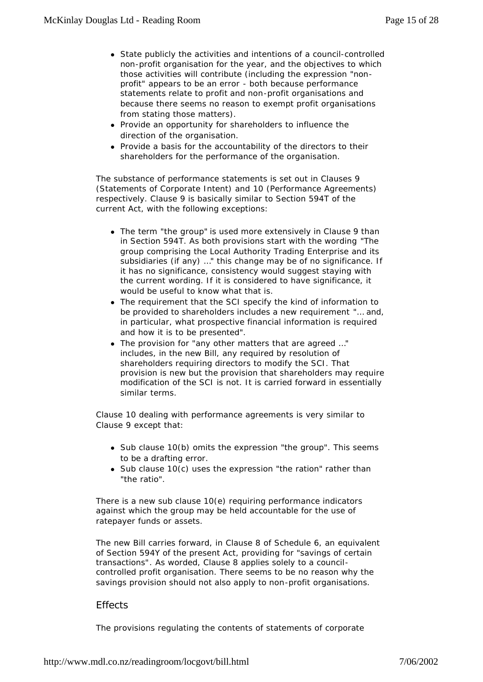- State publicly the activities and intentions of a council-controlled non-profit organisation for the year, and the objectives to which those activities will contribute (including the expression *"nonprofit"* appears to be an error - both because performance statements relate to profit and non-profit organisations and because there seems no reason to exempt profit organisations from stating those matters).
- Provide an opportunity for shareholders to influence the direction of the organisation.
- Provide a basis for the accountability of the directors to their shareholders for the performance of the organisation.

The substance of performance statements is set out in Clauses 9 (Statements of Corporate Intent) and 10 (Performance Agreements) respectively. Clause 9 is basically similar to Section 594T of the current Act, with the following exceptions:

- The term *"the group"* is used more extensively in Clause 9 than in Section 594T. As both provisions start with the wording *"The group comprising the Local Authority Trading Enterprise and its subsidiaries (if any) …"* this change may be of no significance. If it has no significance, consistency would suggest staying with the current wording. If it is considered to have significance, it would be useful to know what that is.
- The requirement that the SCI specify the kind of information to be provided to shareholders includes a new requirement *"… and, in particular, what prospective financial information is required and how it is to be presented".*
- The provision for "any other matters that are agreed ..." includes, in the new Bill, any required by resolution of shareholders requiring directors to modify the SCI. That provision is new but the provision that shareholders may require modification of the SCI is not. It is carried forward in essentially similar terms.

Clause 10 dealing with performance agreements is very similar to Clause 9 except that:

- Sub clause 10(b) omits the expression "the group". This seems to be a drafting error.
- Sub clause 10(c) uses the expression "the ration" rather than *"the ratio".*

There is a new sub clause 10(e) requiring performance indicators against which the group may be held accountable for the use of ratepayer funds or assets.

The new Bill carries forward, in Clause 8 of Schedule 6, an equivalent of Section 594Y of the present Act, providing for *"savings of certain transactions"*. As worded, Clause 8 applies solely to a councilcontrolled profit organisation. There seems to be no reason why the savings provision should not also apply to non-profit organisations.

#### *Effects*

The provisions regulating the contents of statements of corporate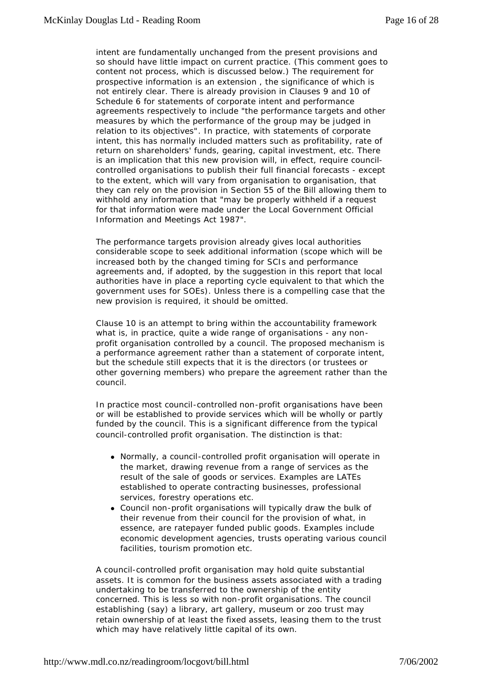intent are fundamentally unchanged from the present provisions and so should have little impact on current practice. (This comment goes to content not process, which is discussed below.) The requirement for prospective information is an extension , the significance of which is not entirely clear. There is already provision in Clauses 9 and 10 of Schedule 6 for statements of corporate intent and performance agreements respectively to include *"the performance targets and other measures by which the performance of the group may be judged in relation to its objectives"*. In practice, with statements of corporate intent, this has normally included matters such as profitability, rate of return on shareholders' funds, gearing, capital investment, etc. There is an implication that this new provision will, in effect, require councilcontrolled organisations to publish their full financial forecasts - except to the extent, which will vary from organisation to organisation, that they can rely on the provision in Section 55 of the Bill allowing them to withhold any information that *"may be properly withheld if a request for that information were made under the Local Government Official Information and Meetings Act 1987".*

The performance targets provision already gives local authorities considerable scope to seek additional information (scope which will be increased both by the changed timing for SCIs and performance agreements and, if adopted, by the suggestion in this report that local authorities have in place a reporting cycle equivalent to that which the government uses for SOEs). Unless there is a compelling case that the new provision is required, it should be omitted.

Clause 10 is an attempt to bring within the accountability framework what is, in practice, quite a wide range of organisations - any nonprofit organisation controlled by a council. The proposed mechanism is a performance agreement rather than a statement of corporate intent, but the schedule still expects that it is the directors (or trustees or other governing members) who prepare the agreement rather than the council.

In practice most council-controlled non-profit organisations have been or will be established to provide services which will be wholly or partly funded by the council. This is a significant difference from the typical council-controlled profit organisation. The distinction is that:

- Normally, a council-controlled profit organisation will operate in the market, drawing revenue from a range of services as the result of the sale of goods or services. Examples are LATEs established to operate contracting businesses, professional services, forestry operations etc.
- Council non-profit organisations will typically draw the bulk of their revenue from their council for the provision of what, in essence, are ratepayer funded public goods. Examples include economic development agencies, trusts operating various council facilities, tourism promotion etc.

A council-controlled profit organisation may hold quite substantial assets. It is common for the business assets associated with a trading undertaking to be transferred to the ownership of the entity concerned. This is less so with non-profit organisations. The council establishing (say) a library, art gallery, museum or zoo trust may retain ownership of at least the fixed assets, leasing them to the trust which may have relatively little capital of its own.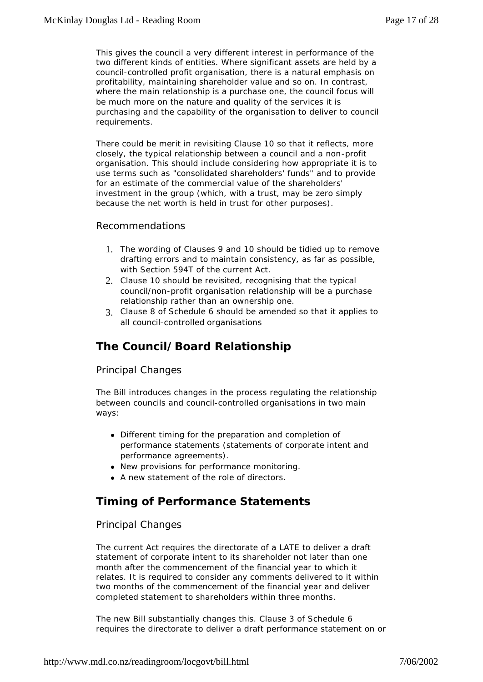This gives the council a very different interest in performance of the two different kinds of entities. Where significant assets are held by a council-controlled profit organisation, there is a natural emphasis on profitability, maintaining shareholder value and so on. In contrast, where the main relationship is a purchase one, the council focus will be much more on the nature and quality of the services it is purchasing and the capability of the organisation to deliver to council requirements.

There could be merit in revisiting Clause 10 so that it reflects, more closely, the typical relationship between a council and a non-profit organisation. This should include considering how appropriate it is to use terms such as "consolidated shareholders' funds" and to provide for an estimate of the commercial value of the shareholders' investment in the group (which, with a trust, may be zero simply because the net worth is held in trust for other purposes).

#### *Recommendations*

- 1. The wording of Clauses 9 and 10 should be tidied up to remove drafting errors and to maintain consistency, as far as possible, with Section 594T of the current Act.
- 2. Clause 10 should be revisited, recognising that the typical council/non-profit organisation relationship will be a purchase relationship rather than an ownership one.
- 3. Clause 8 of Schedule 6 should be amended so that it applies to all council-controlled organisations

### **The Council/Board Relationship**

#### *Principal Changes*

The Bill introduces changes in the process regulating the relationship between councils and council-controlled organisations in two main ways:

- Different timing for the preparation and completion of performance statements (statements of corporate intent and performance agreements).
- New provisions for performance monitoring.
- A new statement of the role of directors.

### **Timing of Performance Statements**

#### *Principal Changes*

The current Act requires the directorate of a LATE to deliver a draft statement of corporate intent to its shareholder not later than one month after the commencement of the financial year to which it relates. It is required to consider any comments delivered to it within two months of the commencement of the financial year and deliver completed statement to shareholders within three months.

The new Bill substantially changes this. Clause 3 of Schedule 6 requires the directorate to deliver a draft performance statement on or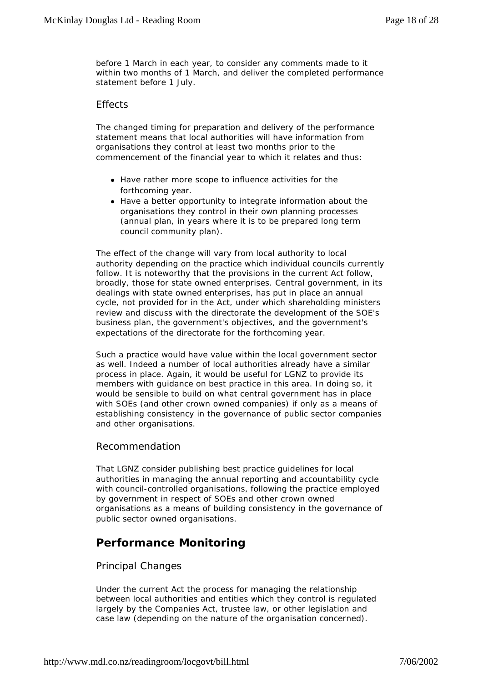before 1 March in each year, to consider any comments made to it within two months of 1 March, and deliver the completed performance statement before 1 July.

#### *Effects*

The changed timing for preparation and delivery of the performance statement means that local authorities will have information from organisations they control at least two months prior to the commencement of the financial year to which it relates and thus:

- Have rather more scope to influence activities for the forthcoming year.
- Have a better opportunity to integrate information about the organisations they control in their own planning processes (annual plan, in years where it is to be prepared long term council community plan).

The effect of the change will vary from local authority to local authority depending on the practice which individual councils currently follow. It is noteworthy that the provisions in the current Act follow, broadly, those for state owned enterprises. Central government, in its dealings with state owned enterprises, has put in place an annual cycle, not provided for in the Act, under which shareholding ministers review and discuss with the directorate the development of the SOE's business plan, the government's objectives, and the government's expectations of the directorate for the forthcoming year.

Such a practice would have value within the local government sector as well. Indeed a number of local authorities already have a similar process in place. Again, it would be useful for LGNZ to provide its members with guidance on best practice in this area. In doing so, it would be sensible to build on what central government has in place with SOEs (and other crown owned companies) if only as a means of establishing consistency in the governance of public sector companies and other organisations.

#### *Recommendation*

That LGNZ consider publishing best practice guidelines for local authorities in managing the annual reporting and accountability cycle with council-controlled organisations, following the practice employed by government in respect of SOEs and other crown owned organisations as a means of building consistency in the governance of public sector owned organisations.

### **Performance Monitoring**

#### *Principal Changes*

Under the current Act the process for managing the relationship between local authorities and entities which they control is regulated largely by the Companies Act, trustee law, or other legislation and case law (depending on the nature of the organisation concerned).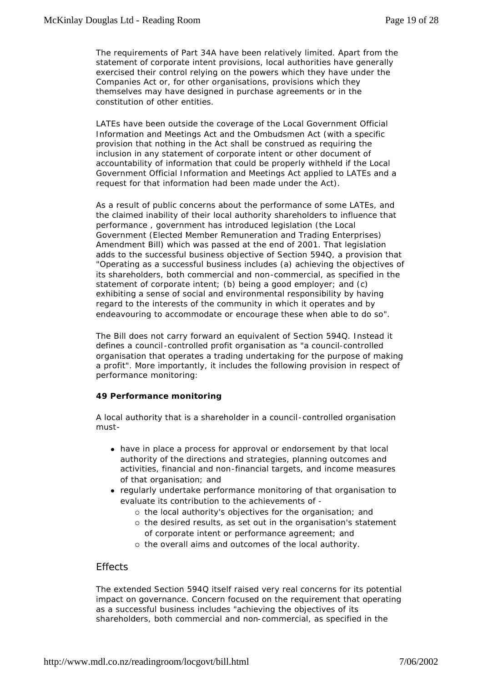The requirements of Part 34A have been relatively limited. Apart from the statement of corporate intent provisions, local authorities have generally exercised their control relying on the powers which they have under the Companies Act or, for other organisations, provisions which they themselves may have designed in purchase agreements or in the constitution of other entities.

LATEs have been outside the coverage of the Local Government Official Information and Meetings Act and the Ombudsmen Act (with a specific provision that nothing in the Act shall be construed as requiring the inclusion in any statement of corporate intent or other document of accountability of information that could be properly withheld if the Local Government Official Information and Meetings Act applied to LATEs and a request for that information had been made under the Act).

As a result of public concerns about the performance of some LATEs, and the claimed inability of their local authority shareholders to influence that performance , government has introduced legislation (the Local Government (Elected Member Remuneration and Trading Enterprises) Amendment Bill) which was passed at the end of 2001. That legislation adds to the successful business objective of Section 594Q, a provision that *"Operating as a successful business includes (a) achieving the objectives of its shareholders, both commercial and non-commercial, as specified in the statement of corporate intent; (b) being a good employer; and (c) exhibiting a sense of social and environmental responsibility by having regard to the interests of the community in which it operates and by endeavouring to accommodate or encourage these when able to do so".*

The Bill does not carry forward an equivalent of Section 594Q. Instead it defines a council -controlled profit organisation as "a council-controlled organisation that operates a trading undertaking for the purpose of making a profit". More importantly, it includes the following provision in respect of performance monitoring:

#### *49 Performance monitoring*

A local authority that is a shareholder in a council-controlled organisation must-

- have in place a process for approval or endorsement by that local authority of the directions and strategies, planning outcomes and activities, financial and non-financial targets, and income measures of that organisation; and
- regularly undertake performance monitoring of that organisation to evaluate its contribution to the achievements of -
	- ° the local authority's objectives for the organisation; and
	- ° the desired results, as set out in the organisation's statement of corporate intent or performance agreement; and
	- ° the overall aims and outcomes of the local authority.

#### *Effects*

The extended Section 594Q itself raised very real concerns for its potential impact on governance. Concern focused on the requirement that operating as a successful business includes *"achieving the objectives of its shareholders, both commercial and non-commercial, as specified in the*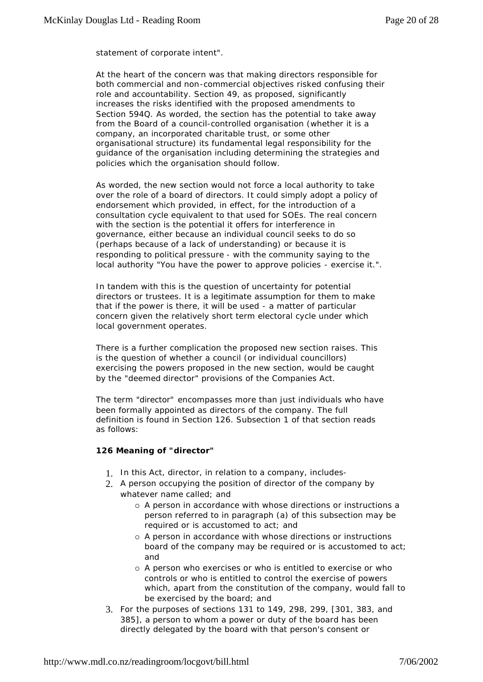*statement of corporate intent".*

At the heart of the concern was that making directors responsible for both commercial and non-commercial objectives risked confusing their role and accountability. Section 49, as proposed, significantly increases the risks identified with the proposed amendments to Section 594Q. As worded, the section has the potential to take away from the Board of a council-controlled organisation (whether it is a company, an incorporated charitable trust, or some other organisational structure) its fundamental legal responsibility for the guidance of the organisation including determining the strategies and policies which the organisation should follow.

As worded, the new section would not force a local authority to take over the role of a board of directors. It could simply adopt a policy of endorsement which provided, in effect, for the introduction of a consultation cycle equivalent to that used for SOEs. The real concern with the section is the potential it offers for interference in governance, either because an individual council seeks to do so (perhaps because of a lack of understanding) or because it is responding to political pressure - with the community saying to the local authority *"You have the power to approve policies - exercise it.".*

In tandem with this is the question of uncertainty for potential directors or trustees. It is a legitimate assumption for them to make that if the power is there, it will be used - a matter of particular concern given the relatively short term electoral cycle under which local government operates.

There is a further complication the proposed new section raises. This is the question of whether a council (or individual councillors) exercising the powers proposed in the new section, would be caught by the *"deemed director"* provisions of the Companies Act.

The term *"director"* encompasses more than just individuals who have been formally appointed as directors of the company. The full definition is found in Section 126. Subsection 1 of that section reads as follows:

#### *126 Meaning of "director"*

- 1. *In this Act, director, in relation to a company, includes-*
- 2. *A person occupying the position of director of the company by whatever name called; and*
	- ° *A person in accordance with whose directions or instructions a person referred to in paragraph (a) of this subsection may be required or is accustomed to act; and*
	- ° *A person in accordance with whose directions or instructions board of the company may be required or is accustomed to act; and*
	- ° *A person who exercises or who is entitled to exercise or who controls or who is entitled to control the exercise of powers which, apart from the constitution of the company, would fall to be exercised by the board; and*
- 3. *For the purposes of sections 131 to 149, 298, 299, [301, 383, and 385], a person to whom a power or duty of the board has been directly delegated by the board with that person's consent or*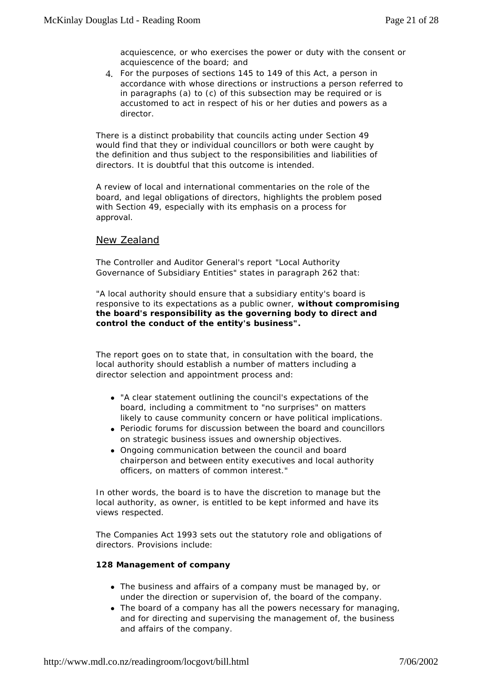*acquiescence, or who exercises the power or duty with the consent or acquiescence of the board; and*

4. *For the purposes of sections 145 to 149 of this Act, a person in accordance with whose directions or instructions a person referred to in paragraphs (a) to (c) of this subsection may be required or is accustomed to act in respect of his or her duties and powers as a director.*

There is a distinct probability that councils acting under Section 49 would find that they or individual councillors or both were caught by the definition and thus subject to the responsibilities and liabilities of directors. It is doubtful that this outcome is intended.

A review of local and international commentaries on the role of the board, and legal obligations of directors, highlights the problem posed with Section 49, especially with its emphasis on a process for approval.

#### New Zealand

The Controller and Auditor General's report *"Local Authority Governance of Subsidiary Entities"* states in paragraph 262 that:

*"A local authority should ensure that a subsidiary entity's board is responsive to its expectations as a public owner, without compromising the board's responsibility as the governing body to direct and control the conduct of the entity's business".*

The report goes on to state that, in consultation with the board, the local authority should establish a number of matters including a director selection and appointment process and:

- <sup>l</sup> *"A clear statement outlining the council's expectations of the board, including a commitment to "no surprises" on matters likely to cause community concern or have political implications.*
- <sup>l</sup> *Periodic forums for discussion between the board and councillors on strategic business issues and ownership objectives.*
- <sup>l</sup> *Ongoing communication between the council and board chairperson and between entity executives and local authority officers, on matters of common interest."*

In other words, the board is to have the discretion to manage but the local authority, as owner, is entitled to be kept informed and have its views respected.

The Companies Act 1993 sets out the statutory role and obligations of directors. Provisions include:

#### *128 Management of company*

- The business and affairs of a company must be managed by, or *under the direction or supervision of, the board of the company.*
- The board of a company has all the powers necessary for managing, *and for directing and supervising the management of, the business and affairs of the company.*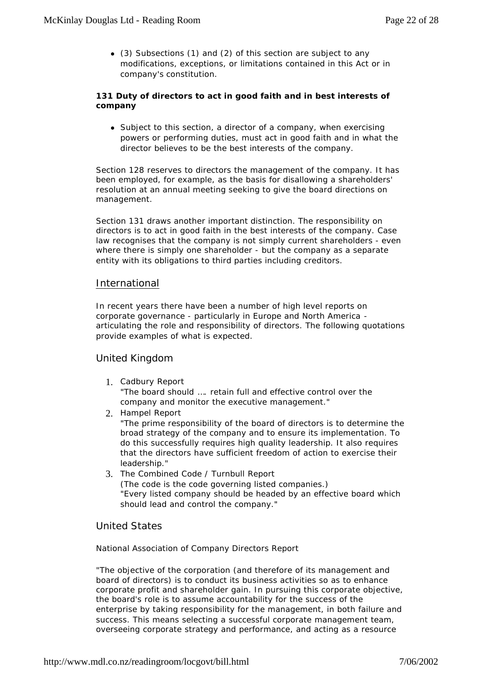<sup>l</sup> *(3) Subsections (1) and (2) of this section are subject to any modifications, exceptions, or limitations contained in this Act or in company's constitution.*

#### *131 Duty of directors to act in good faith and in best interests of company*

• Subject to this section, a director of a company, when exercising *powers or performing duties, must act in good faith and in what the director believes to be the best interests of the company.*

Section 128 reserves to directors the management of the company. It has been employed, for example, as the basis for disallowing a shareholders' resolution at an annual meeting seeking to give the board directions on management.

Section 131 draws another important distinction. The responsibility on directors is to act in good faith in the best interests of the company. Case law recognises that the company is not simply current shareholders - even where there is simply one shareholder - but the company as a separate entity with its obligations to third parties including creditors.

#### International

In recent years there have been a number of high level reports on corporate governance - particularly in Europe and North America articulating the role and responsibility of directors. The following quotations provide examples of what is expected.

#### *United Kingdom*

- 1. Cadbury Report *"The board should …. retain full and effective control over the company and monitor the executive management."*
- 2. Hampel Report

*"The prime responsibility of the board of directors is to determine the broad strategy of the company and to ensure its implementation. To do this successfully requires high quality leadership. It also requires that the directors have sufficient freedom of action to exercise their leadership."*

3. The Combined Code / Turnbull Report (The code is the code governing listed companies.) *"Every listed company should be headed by an effective board which should lead and control the company."* 

#### *United States*

National Association of Company Directors Report

*"The objective of the corporation (and therefore of its management and board of directors) is to conduct its business activities so as to enhance corporate profit and shareholder gain. In pursuing this corporate objective, the board's role is to assume accountability for the success of the enterprise by taking responsibility for the management, in both failure and success. This means selecting a successful corporate management team, overseeing corporate strategy and performance, and acting as a resource*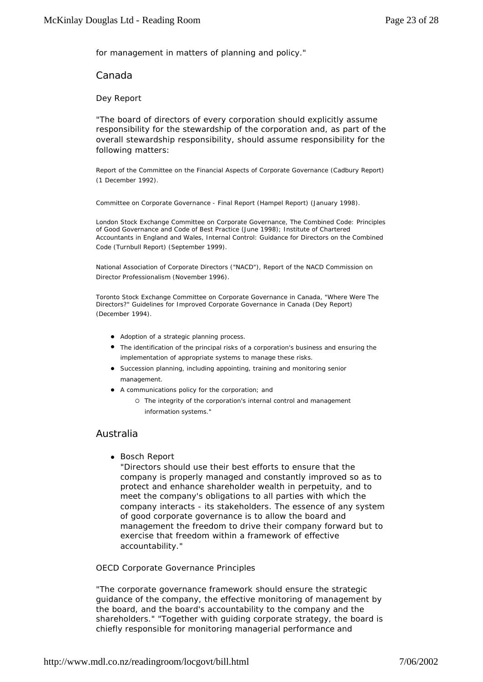*for management in matters of planning and policy."*

*Canada*

Dey Report

"The board of directors of every corporation should explicitly assume responsibility for the stewardship of the corporation and, as part of the overall stewardship responsibility, should assume responsibility for the following matters:

Report of the Committee on the Financial Aspects of Corporate Governance (Cadbury Report) (1 December 1992).

Committee on Corporate Governance - Final Report (Hampel Report) (January 1998).

London Stock Exchange Committee on Corporate Governance, The Combined Code: Principles of Good Governance and Code of Best Practice (June 1998); Institute of Chartered Accountants in England and Wales, Internal Control: Guidance for Directors on the Combined Code (Turnbull Report) (September 1999).

National Association of Corporate Directors ("NACD"), Report of the NACD Commission on Director Professionalism (November 1996).

Toronto Stock Exchange Committee on Corporate Governance in Canada, "Where Were The Directors?" Guidelines for Improved Corporate Governance in Canada (Dey Report) (December 1994).

- **•** Adoption of a strategic planning process.
- **•** The identification of the principal risks of a corporation's business and ensuring the *implementation of appropriate systems to manage these risks.*
- **•** Succession planning, including appointing, training and monitoring senior *management.*
- **•** A communications policy for the corporation; and
	- ° *The integrity of the corporation's internal control and management information systems."*

#### *Australia*

• Bosch Report

*"Directors should use their best efforts to ensure that the company is properly managed and constantly improved so as to protect and enhance shareholder wealth in perpetuity, and to meet the company's obligations to all parties with which the company interacts - its stakeholders. The essence of any system of good corporate governance is to allow the board and management the freedom to drive their company forward but to exercise that freedom within a framework of effective accountability."*

OECD Corporate Governance Principles

*"The corporate governance framework should ensure the strategic guidance of the company, the effective monitoring of management by the board, and the board's accountability to the company and the shareholders." "Together with guiding corporate strategy, the board is chiefly responsible for monitoring managerial performance and*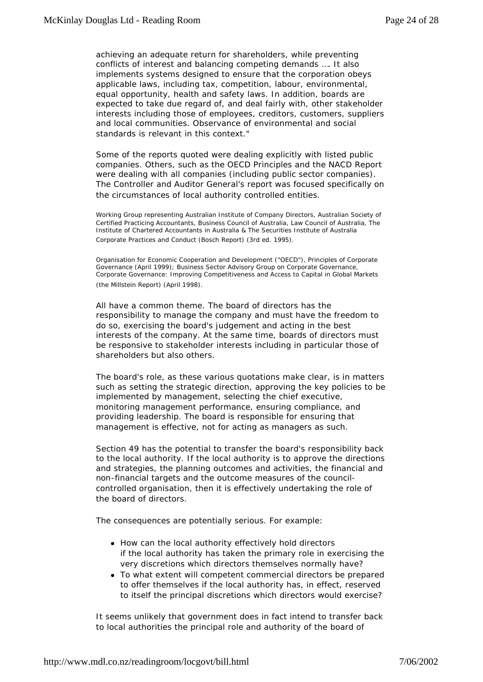*achieving an adequate return for shareholders, while preventing conflicts of interest and balancing competing demands …. It also implements systems designed to ensure that the corporation obeys applicable laws, including tax, competition, labour, environmental, equal opportunity, health and safety laws. In addition, boards are expected to take due regard of, and deal fairly with, other stakeholder interests including those of employees, creditors, customers, suppliers and local communities. Observance of environmental and social standards is relevant in this context."* 

Some of the reports quoted were dealing explicitly with listed public companies. Others, such as the OECD Principles and the NACD Report were dealing with all companies (including public sector companies). The Controller and Auditor General's report was focused specifically on the circumstances of local authority controlled entities.

*Working Group representing Australian Institute of Company Directors, Australian Society of Certified Practicing Accountants, Business Council of Australia, Law Council of Australia, The Institute of Chartered Accountants in Australia & The Securities Institute of Australia Corporate Practices and Conduct (Bosch Report) (3rd ed. 1995).*

*Organisation for Economic Cooperation and Development ("OECD"), Principles of Corporate Governance (April 1999); Business Sector Advisory Group on Corporate Governance, Corporate Governance: Improving Competitiveness and Access to Capital in Global Markets (the Millstein Report) (April 1998).*

All have a common theme. The board of directors has the responsibility to manage the company and must have the freedom to do so, exercising the board's judgement and acting in the best interests of the company. At the same time, boards of directors must be responsive to stakeholder interests including in particular those of shareholders but also others.

The board's role, as these various quotations make clear, is in matters such as setting the strategic direction, approving the key policies to be implemented by management, selecting the chief executive, monitoring management performance, ensuring compliance, and providing leadership. The board is responsible for ensuring that management is effective, not for acting as managers as such.

Section 49 has the potential to transfer the board's responsibility back to the local authority. If the local authority is to approve the directions and strategies, the planning outcomes and activities, the financial and non-financial targets and the outcome measures of the councilcontrolled organisation, then it is effectively undertaking the role of the board of directors.

The consequences are potentially serious. For example:

- How can the local authority effectively hold directors if the local authority has taken the primary role in exercising the very discretions which directors themselves normally have?
- To what extent will competent commercial directors be prepared to offer themselves if the local authority has, in effect, reserved to itself the principal discretions which directors would exercise?

It seems unlikely that government does in fact intend to transfer back to local authorities the principal role and authority of the board of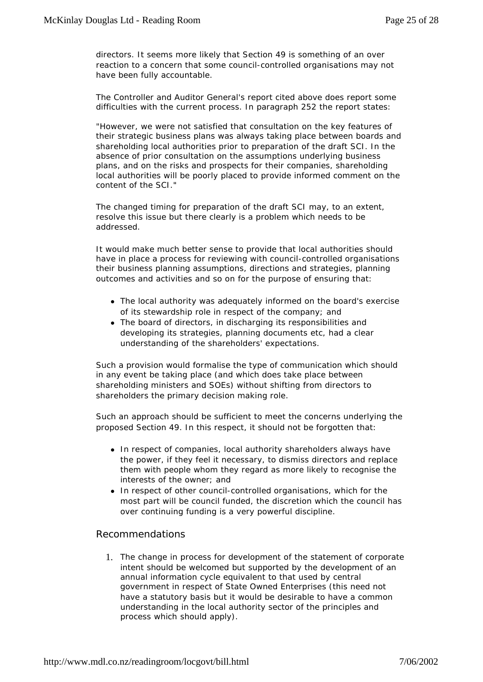directors. It seems more likely that Section 49 is something of an over reaction to a concern that some council-controlled organisations may not have been fully accountable.

The Controller and Auditor General's report cited above does report some difficulties with the current process. In paragraph 252 the report states:

*"However, we were not satisfied that consultation on the key features of their strategic business plans was always taking place between boards and shareholding local authorities prior to preparation of the draft SCI. In the absence of prior consultation on the assumptions underlying business plans, and on the risks and prospects for their companies, shareholding local authorities will be poorly placed to provide informed comment on the content of the SCI."*

The changed timing for preparation of the draft SCI may, to an extent, resolve this issue but there clearly is a problem which needs to be addressed.

It would make much better sense to provide that local authorities should have in place a process for reviewing with council-controlled organisations their business planning assumptions, directions and strategies, planning outcomes and activities and so on for the purpose of ensuring that:

- The local authority was adequately informed on the board's exercise of its stewardship role in respect of the company; and
- The board of directors, in discharging its responsibilities and developing its strategies, planning documents etc, had a clear understanding of the shareholders' expectations.

Such a provision would formalise the type of communication which should in any event be taking place (and which does take place between shareholding ministers and SOEs) without shifting from directors to shareholders the primary decision making role.

Such an approach should be sufficient to meet the concerns underlying the proposed Section 49. In this respect, it should not be forgotten that:

- In respect of companies, local authority shareholders always have the power, if they feel it necessary, to dismiss directors and replace them with people whom they regard as more likely to recognise the interests of the owner; and
- In respect of other council-controlled organisations, which for the most part will be council funded, the discretion which the council has over continuing funding is a very powerful discipline.

#### *Recommendations*

1. The change in process for development of the statement of corporate intent should be welcomed but supported by the development of an annual information cycle equivalent to that used by central government in respect of State Owned Enterprises (this need not have a statutory basis but it would be desirable to have a common understanding in the local authority sector of the principles and process which should apply).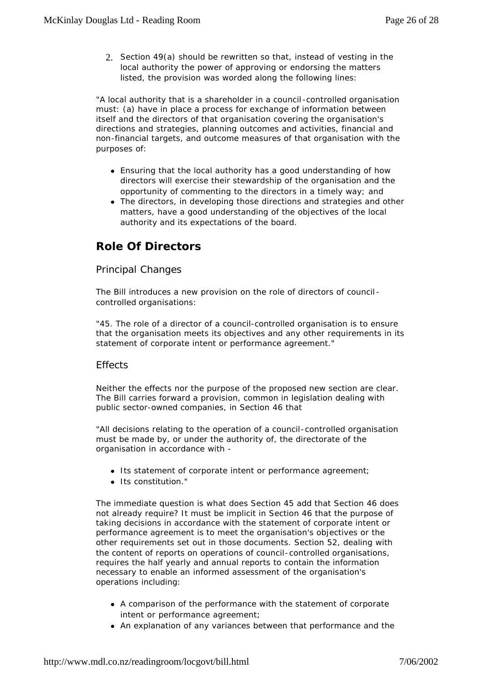2. Section 49(a) should be rewritten so that, instead of vesting in the local authority the power of approving or endorsing the matters listed, the provision was worded along the following lines:

"A local authority that is a shareholder in a council -controlled organisation must: (a) have in place a process for exchange of information between itself and the directors of that organisation covering the organisation's directions and strategies, planning outcomes and activities, financial and non-financial targets, and outcome measures of that organisation with the purposes of:

- Ensuring that the local authority has a good understanding of how *directors will exercise their stewardship of the organisation and the opportunity of commenting to the directors in a timely way; and*
- **•** The directors, in developing those directions and strategies and other *matters, have a good understanding of the objectives of the local authority and its expectations of the board.*

# **Role Of Directors**

#### *Principal Changes*

The Bill introduces a new provision on the role of directors of council controlled organisations:

*"45. The role of a director of a council-controlled organisation is to ensure that the organisation meets its objectives and any other requirements in its statement of corporate intent or performance agreement."*

#### *Effects*

Neither the effects nor the purpose of the proposed new section are clear. The Bill carries forward a provision, common in legislation dealing with public sector-owned companies, in Section 46 that

"All decisions relating to the operation of a council-controlled organisation must be made by, or under the authority of, the directorate of the organisation in accordance with -

- **.** Its statement of corporate intent or performance agreement;
- **·** *Its constitution."*

The immediate question is what does Section 45 add that Section 46 does not already require? It must be implicit in Section 46 that the purpose of taking decisions in accordance with the statement of corporate intent or performance agreement is to meet the organisation's objectives or the other requirements set out in those documents. Section 52, dealing with the content of reports on operations of council-controlled organisations, requires the half yearly and annual reports to contain the information necessary to enable an informed assessment of the organisation's operations including:

- A comparison of the performance with the statement of corporate intent or performance agreement;
- An explanation of any variances between that performance and the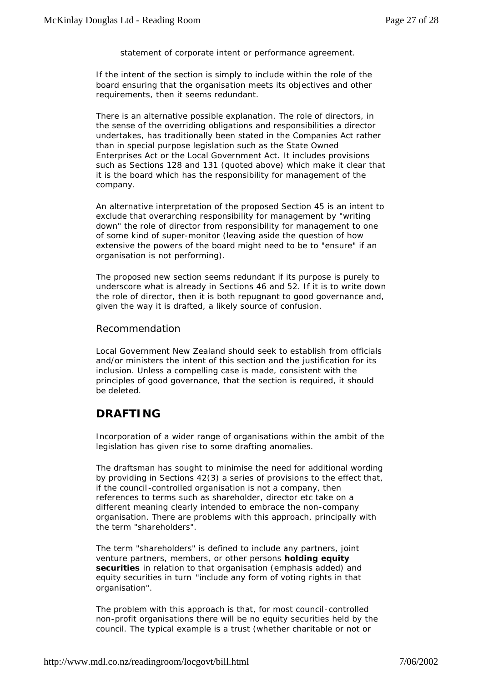statement of corporate intent or performance agreement.

If the intent of the section is simply to include within the role of the board ensuring that the organisation meets its objectives and other requirements, then it seems redundant.

There is an alternative possible explanation. The role of directors, in the sense of the overriding obligations and responsibilities a director undertakes, has traditionally been stated in the Companies Act rather than in special purpose legislation such as the State Owned Enterprises Act or the Local Government Act. It includes provisions such as Sections 128 and 131 (quoted above) which make it clear that it is the board which has the responsibility for management of the company.

An alternative interpretation of the proposed Section 45 is an intent to exclude that overarching responsibility for management by "writing down" the role of director from responsibility for management to one of some kind of super-monitor (leaving aside the question of how extensive the powers of the board might need to be to "ensure" if an organisation is not performing).

The proposed new section seems redundant if its purpose is purely to underscore what is already in Sections 46 and 52. If it is to write down the role of director, then it is both repugnant to good governance and, given the way it is drafted, a likely source of confusion.

#### *Recommendation*

*Local Government New Zealand should seek to establish from officials and/or ministers the intent of this section and the justification for its inclusion. Unless a compelling case is made, consistent with the principles of good governance, that the section is required, it should be deleted.*

### **DRAFTING**

Incorporation of a wider range of organisations within the ambit of the legislation has given rise to some drafting anomalies.

The draftsman has sought to minimise the need for additional wording by providing in Sections 42(3) a series of provisions to the effect that, if the council -controlled organisation is not a company, then references to terms such as shareholder, director etc take on a different meaning clearly intended to embrace the non-company organisation. There are problems with this approach, principally with the term "shareholders".

The term "shareholders" is defined to include any partners, joint venture partners, members, or other persons **holding equity securities** in relation to that organisation (emphasis added) and equity securities in turn *"include any form of voting rights in that organisation".*

The problem with this approach is that, for most council-controlled non-profit organisations there will be no equity securities held by the council. The typical example is a trust (whether charitable or not or